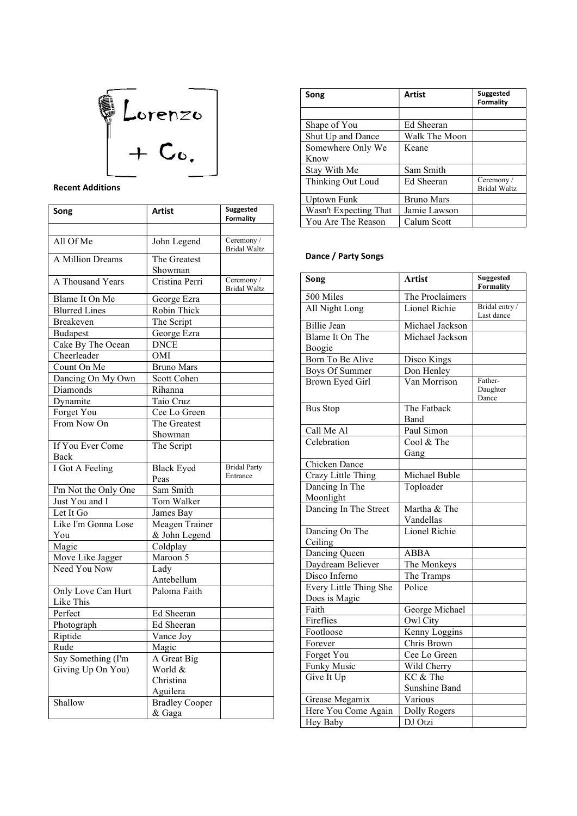

## Recent Additions

| Song                            | Artist                    | Suggested                         |
|---------------------------------|---------------------------|-----------------------------------|
|                                 |                           | <b>Formality</b>                  |
| All Of Me                       | John Legend               | Ceremony /<br><b>Bridal Waltz</b> |
| A Million Dreams                | The Greatest              |                                   |
|                                 | Showman                   |                                   |
| A Thousand Years                | Cristina Perri            | Ceremony /<br><b>Bridal Waltz</b> |
| Blame It On Me                  | George Ezra               |                                   |
| <b>Blurred Lines</b>            | Robin Thick               |                                   |
| <b>Breakeven</b>                | The Script                |                                   |
| <b>Budapest</b>                 | George Ezra               |                                   |
| Cake By The Ocean               | <b>DNCE</b>               |                                   |
| Cheerleader                     | OMI                       |                                   |
| Count On Me                     | <b>Bruno Mars</b>         |                                   |
| Dancing On My Own               | Scott Cohen               |                                   |
| Diamonds                        | Rihanna                   |                                   |
| Dynamite                        | Taio Cruz                 |                                   |
| Forget You                      | Cee Lo Green              |                                   |
| From Now On                     | The Greatest              |                                   |
|                                 | Showman                   |                                   |
| If You Ever Come<br>Back        | The Script                |                                   |
| I Got A Feeling                 | <b>Black Eyed</b><br>Peas | <b>Bridal Party</b><br>Entrance   |
| I'm Not the Only One            | Sam Smith                 |                                   |
| Just You and I                  | Tom Walker                |                                   |
| Let It Go                       | James Bay                 |                                   |
| Like I'm Gonna Lose             | Meagen Trainer            |                                   |
| You                             | & John Legend             |                                   |
| Magic                           | Coldplay                  |                                   |
| Move Like Jagger                | Maroon 5                  |                                   |
| Need You Now                    | Lady                      |                                   |
|                                 | Antebellum                |                                   |
| Only Love Can Hurt<br>Like This | Paloma Faith              |                                   |
| Perfect                         | Ed Sheeran                |                                   |
| Photograph                      | Ed Sheeran                |                                   |
| Riptide                         | Vance Joy                 |                                   |
| Rude                            | Magic                     |                                   |
| Say Something (I'm              | A Great Big               |                                   |
| Giving Up On You)               | World &                   |                                   |
|                                 | Christina                 |                                   |
|                                 | Aguilera                  |                                   |
| Shallow                         | <b>Bradley Cooper</b>     |                                   |
|                                 | & Gaga                    |                                   |
|                                 |                           |                                   |

| Song                  | <b>Artist</b>     | Suggested<br><b>Formality</b>     |
|-----------------------|-------------------|-----------------------------------|
|                       |                   |                                   |
| Shape of You          | Ed Sheeran        |                                   |
| Shut Up and Dance     | Walk The Moon     |                                   |
| Somewhere Only We     | Keane             |                                   |
| Know                  |                   |                                   |
| Stay With Me          | Sam Smith         |                                   |
| Thinking Out Loud     | Ed Sheeran        | Ceremony /<br><b>Bridal Waltz</b> |
| Uptown Funk           | <b>Bruno Mars</b> |                                   |
| Wasn't Expecting That | Jamie Lawson      |                                   |
| You Are The Reason    | Calum Scott       |                                   |

#### Dance / Party Songs

| Song                                    | <b>Artist</b>             | <b>Suggested</b><br><b>Formality</b> |
|-----------------------------------------|---------------------------|--------------------------------------|
| 500 Miles                               | The Proclaimers           |                                      |
| All Night Long                          | Lionel Richie             | Bridal entry /<br>Last dance         |
| Billie Jean                             | Michael Jackson           |                                      |
| Blame It On The<br>Boogie               | Michael Jackson           |                                      |
| Born To Be Alive                        | Disco Kings               |                                      |
| <b>Boys Of Summer</b>                   | Don Henley                |                                      |
| Brown Eyed Girl                         | Van Morrison              | Father-<br>Daughter<br>Dance         |
| <b>Bus Stop</b>                         | The Fatback               |                                      |
|                                         | Band                      |                                      |
| Call Me Al                              | Paul Simon                |                                      |
| Celebration                             | Cool & The                |                                      |
|                                         | Gang                      |                                      |
| Chicken Dance                           |                           |                                      |
| Crazy Little Thing                      | Michael Buble             |                                      |
| Dancing In The<br>Moonlight             | Toploader                 |                                      |
| Dancing In The Street                   | Martha & The<br>Vandellas |                                      |
| Dancing On The<br>Ceiling               | Lionel Richie             |                                      |
| Dancing Queen                           | <b>ABBA</b>               |                                      |
| Daydream Believer                       | The Monkeys               |                                      |
| Disco Inferno                           | The Tramps                |                                      |
| Every Little Thing She<br>Does is Magic | Police                    |                                      |
| Faith                                   | George Michael            |                                      |
| Fireflies                               | Owl City                  |                                      |
| Footloose                               | Kenny Loggins             |                                      |
| Forever                                 | Chris Brown               |                                      |
| Forget You                              | Cee Lo Green              |                                      |
| <b>Funky Music</b>                      | Wild Cherry               |                                      |
| Give It Up                              | KC & The<br>Sunshine Band |                                      |
| Grease Megamix                          | Various                   |                                      |
| Here You Come Again                     | Dolly Rogers              |                                      |
| Hey Baby                                | DJ Otzi                   |                                      |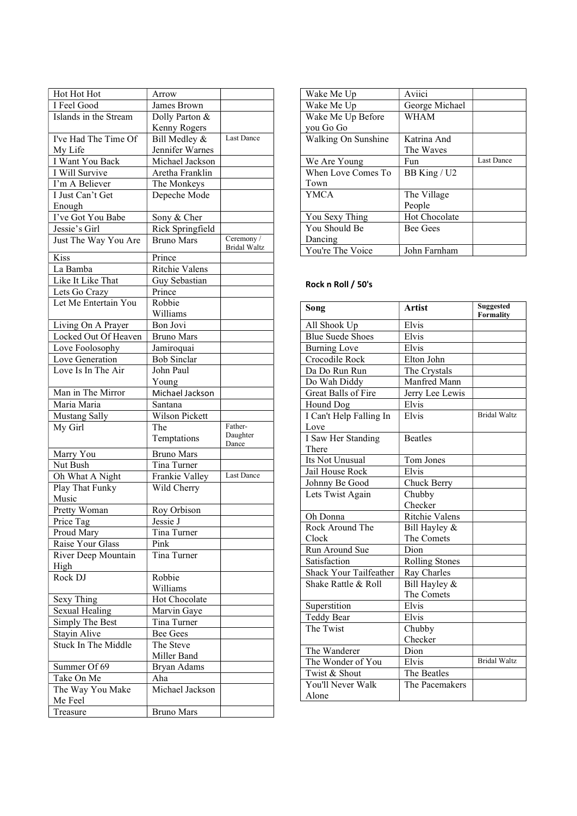| Hot Hot Hot<br>I Feel Good | Arrow<br>James Brown               |                                   |
|----------------------------|------------------------------------|-----------------------------------|
| Islands in the Stream      | Dolly Parton &                     |                                   |
|                            |                                    |                                   |
|                            | Kenny Rogers                       | Last Dance                        |
| I've Had The Time Of       | Bill Medley &                      |                                   |
| My Life<br>I Want You Back | Jennifer Warnes<br>Michael Jackson |                                   |
|                            |                                    |                                   |
| I Will Survive             | Aretha Franklin                    |                                   |
| I'm A Believer             | The Monkeys                        |                                   |
| I Just Can't Get           | Depeche Mode                       |                                   |
| Enough                     |                                    |                                   |
| I've Got You Babe          | Sony & Cher                        |                                   |
| Jessie's Girl              | Rick Springfield                   |                                   |
| Just The Way You Are       | <b>Bruno Mars</b>                  | Ceremony /<br><b>Bridal Waltz</b> |
| Kiss                       | Prince                             |                                   |
| La Bamba                   | Ritchie Valens                     |                                   |
| Like It Like That          | Guy Sebastian                      |                                   |
| Lets Go Crazy              | Prince                             |                                   |
| Let Me Entertain You       | Robbie                             |                                   |
|                            | Williams                           |                                   |
| Living On A Prayer         | Bon Jovi                           |                                   |
| Locked Out Of Heaven       | <b>Bruno Mars</b>                  |                                   |
| Love Foolosophy            | Jamiroquai                         |                                   |
| Love Generation            | <b>Bob Sinclar</b>                 |                                   |
| Love Is In The Air         | John Paul                          |                                   |
|                            | Young                              |                                   |
| Man in The Mirror          | Michael Jackson                    |                                   |
|                            |                                    |                                   |
|                            |                                    |                                   |
| Maria Maria                | Santana                            |                                   |
| <b>Mustang Sally</b>       | Wilson Pickett                     |                                   |
| My Girl                    | The                                | Father-                           |
|                            | Temptations                        | Daughter<br>Dance                 |
| Marry You                  | <b>Bruno Mars</b>                  |                                   |
| Nut Bush                   | Tina Turner                        |                                   |
| Oh What A Night            | Frankie Valley                     | <b>Last Dance</b>                 |
| Play That Funky            | Wild Cherry                        |                                   |
| Music                      |                                    |                                   |
| Pretty Woman               | Roy Orbison                        |                                   |
| Price Tag                  | Jessie J                           |                                   |
| Proud Mary                 | Tina Turner                        |                                   |
| Raise Your Glass           | Pink                               |                                   |
| River Deep Mountain        | Tina Turner                        |                                   |
| High                       |                                    |                                   |
| Rock DJ                    | Robbie                             |                                   |
|                            | Williams                           |                                   |
| Sexy Thing                 | Hot Chocolate                      |                                   |
| Sexual Healing             | Marvin Gaye                        |                                   |
| Simply The Best            | Tina Turner                        |                                   |
| Stayin Alive               | Bee Gees                           |                                   |
| Stuck In The Middle        | The Steve                          |                                   |
|                            | Miller Band                        |                                   |
| Summer Of 69               | Bryan Adams                        |                                   |
| Take On Me                 | Aha                                |                                   |
| The Way You Make           | Michael Jackson                    |                                   |
| Me Feel                    |                                    |                                   |

| Wake Me Up          | Aviici          |                   |
|---------------------|-----------------|-------------------|
| Wake Me Up          | George Michael  |                   |
| Wake Me Up Before   | WHAM            |                   |
| you Go Go           |                 |                   |
| Walking On Sunshine | Katrina And     |                   |
|                     | The Waves       |                   |
| We Are Young        | Fun             | <b>Last Dance</b> |
| When Love Comes To  | BB King / U2    |                   |
| Town                |                 |                   |
| <b>YMCA</b>         | The Village     |                   |
|                     | People          |                   |
| You Sexy Thing      | Hot Chocolate   |                   |
| You Should Be       | <b>Bee Gees</b> |                   |
| Dancing             |                 |                   |
| You're The Voice    | John Farnham    |                   |

## Rock n Roll / 50's

| Song                          | <b>Artist</b>         | <b>Suggested</b><br><b>Formality</b> |
|-------------------------------|-----------------------|--------------------------------------|
| All Shook Up                  | Elvis                 |                                      |
| <b>Blue Suede Shoes</b>       | Elvis                 |                                      |
| <b>Burning Love</b>           | Elvis                 |                                      |
| Crocodile Rock                | Elton John            |                                      |
| Da Do Run Run                 | The Crystals          |                                      |
| Do Wah Diddy                  | Manfred Mann          |                                      |
| Great Balls of Fire           | Jerry Lee Lewis       |                                      |
| Hound Dog                     | Elvis                 |                                      |
| I Can't Help Falling In       | Elvis                 | <b>Bridal Waltz</b>                  |
| Love                          |                       |                                      |
| I Saw Her Standing<br>There   | <b>Beatles</b>        |                                      |
| Its Not Unusual               | Tom Jones             |                                      |
| Jail House Rock               | Elvis                 |                                      |
| Johnny Be Good                | Chuck Berry           |                                      |
| Lets Twist Again              | Chubby                |                                      |
|                               | Checker               |                                      |
| Oh Donna                      | Ritchie Valens        |                                      |
| Rock Around The               | Bill Hayley &         |                                      |
| Clock                         | The Comets            |                                      |
| Run Around Sue                | Dion                  |                                      |
| Satisfaction                  | <b>Rolling Stones</b> |                                      |
| <b>Shack Your Tailfeather</b> | Ray Charles           |                                      |
| Shake Rattle & Roll           | Bill Hayley &         |                                      |
|                               | The Comets            |                                      |
| Superstition                  | Elvis                 |                                      |
| <b>Teddy Bear</b>             | Elvis                 |                                      |
| The Twist                     | Chubby                |                                      |
|                               | Checker               |                                      |
| The Wanderer                  | Dion                  |                                      |
| The Wonder of You             | Elvis                 | <b>Bridal Waltz</b>                  |
| Twist & Shout                 | The Beatles           |                                      |
| You'll Never Walk             | The Pacemakers        |                                      |
| Alone                         |                       |                                      |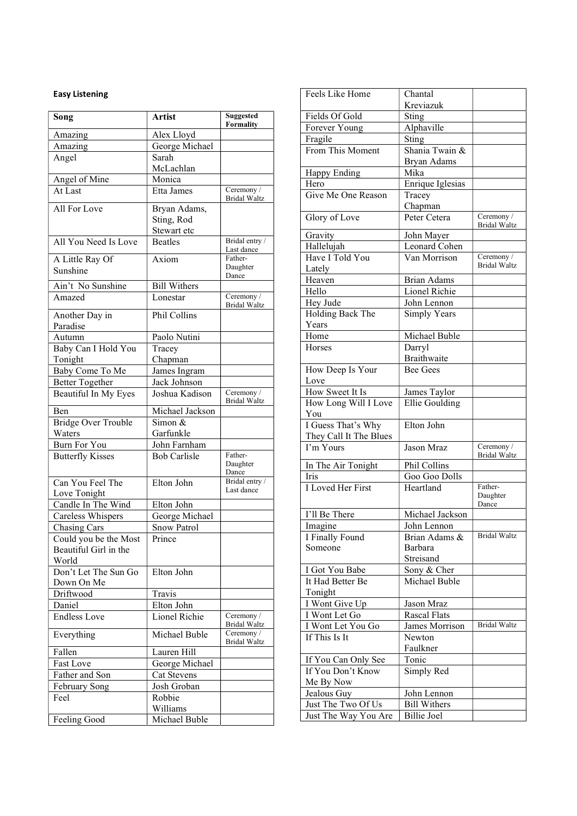## Easy Listening

| Song                       | <b>Artist</b>       | <b>Suggested</b><br>Formality     |
|----------------------------|---------------------|-----------------------------------|
| Amazing                    | Alex Lloyd          |                                   |
| Amazing                    | George Michael      |                                   |
| Angel                      | Sarah               |                                   |
|                            | McLachlan           |                                   |
| Angel of Mine              | Monica              |                                   |
| At Last                    | Etta James          | Ceremony /<br>Bridal Waltz        |
| All For Love               | Bryan Adams,        |                                   |
|                            | Sting, Rod          |                                   |
|                            | Stewart etc         |                                   |
| All You Need Is Love       | <b>Beatles</b>      | Bridal entry /<br>Last dance      |
| A Little Ray Of            | Axiom               | Father-                           |
| Sunshine                   |                     | Daughter<br>Dance                 |
| Ain't No Sunshine          | <b>Bill Withers</b> |                                   |
| Amazed                     | Lonestar            | Ceremony /                        |
|                            |                     | <b>Bridal Waltz</b>               |
| Another Day in             | Phil Collins        |                                   |
| Paradise                   |                     |                                   |
| Autumn                     | Paolo Nutini        |                                   |
| Baby Can I Hold You        | Tracey              |                                   |
| Tonight                    | Chapman             |                                   |
| Baby Come To Me            | James Ingram        |                                   |
| <b>Better Together</b>     | Jack Johnson        |                                   |
| Beautiful In My Eyes       | Joshua Kadison      | Ceremony /<br><b>Bridal Waltz</b> |
| Ben                        | Michael Jackson     |                                   |
| <b>Bridge Over Trouble</b> | Simon &             |                                   |
| Waters                     | Garfunkle           |                                   |
| <b>Burn For You</b>        | John Farnham        |                                   |
| <b>Butterfly Kisses</b>    | <b>Bob Carlisle</b> | Father-<br>Daughter<br>Dance      |
| Can You Feel The           | Elton John          | Bridal entry /                    |
| Love Tonight               |                     | Last dance                        |
| Candle In The Wind         | Elton John          |                                   |
| Careless Whispers          | George Michael      |                                   |
| Chasing Cars               | Snow Patrol         |                                   |
| Could you be the Most      | Prince              |                                   |
| Beautiful Girl in the      |                     |                                   |
| World                      |                     |                                   |
| Don't Let The Sun Go       | Elton John          |                                   |
| Down On Me                 |                     |                                   |
| Driftwood                  | Travis              |                                   |
| Daniel                     | Elton John          |                                   |
| <b>Endless Love</b>        | Lionel Richie       | Ceremony /<br><b>Bridal Waltz</b> |
| Everything                 | Michael Buble       | Ceremony /<br><b>Bridal Waltz</b> |
| Fallen                     | Lauren Hill         |                                   |
| Fast Love                  | George Michael      |                                   |
| Father and Son             | Cat Stevens         |                                   |
| February Song              | Josh Groban         |                                   |
| Feel                       | Robbie              |                                   |
|                            | Williams            |                                   |
| Feeling Good               | Michael Buble       |                                   |

| Feels Like Home                          | Chantal             |                     |
|------------------------------------------|---------------------|---------------------|
|                                          | Kreviazuk           |                     |
| Fields Of Gold                           | Sting               |                     |
| Forever Young                            | Alphaville          |                     |
| Fragile                                  | Sting               |                     |
| From This Moment                         | Shania Twain &      |                     |
|                                          | Bryan Adams<br>Mika |                     |
| <b>Happy Ending</b><br>Hero              | Enrique Iglesias    |                     |
| Give Me One Reason                       | Tracey              |                     |
|                                          | Chapman             |                     |
| Glory of Love                            | Peter Cetera        | Ceremony /          |
|                                          |                     | <b>Bridal Waltz</b> |
| Gravity                                  | John Mayer          |                     |
| Hallelujah                               | Leonard Cohen       |                     |
| Have I Told You                          | Van Morrison        | Ceremony /          |
| Lately                                   |                     | <b>Bridal Waltz</b> |
| Heaven                                   | <b>Brian Adams</b>  |                     |
| Hello                                    | Lionel Richie       |                     |
| Hey Jude                                 | John Lennon         |                     |
| Holding Back The                         | <b>Simply Years</b> |                     |
| Years                                    |                     |                     |
| Home                                     | Michael Buble       |                     |
| <b>Horses</b>                            | Darryl              |                     |
|                                          | <b>Braithwaite</b>  |                     |
| How Deep Is Your                         | <b>Bee Gees</b>     |                     |
| Love                                     |                     |                     |
| How Sweet It Is                          | James Taylor        |                     |
| How Long Will I Love<br>You              | Ellie Goulding      |                     |
| I Guess That's Why                       | Elton John          |                     |
| They Call It The Blues                   |                     |                     |
| I'm Yours                                | Jason Mraz          | Ceremony /          |
|                                          |                     | <b>Bridal Waltz</b> |
| In The Air Tonight                       | Phil Collins        |                     |
| Iris                                     | Goo Goo Dolls       |                     |
| I Loved Her First                        | Heartland           | Father-<br>Daughter |
|                                          |                     | Dance               |
| I'll Be There                            | Michael Jackson     |                     |
| Imagine                                  | John Lennon         |                     |
| I Finally Found                          | Brian Adams &       | <b>Bridal Waltz</b> |
| Someone                                  | <b>Barbara</b>      |                     |
|                                          | Streisand           |                     |
| I Got You Babe                           | Sony & Cher         |                     |
| It Had Better Be                         | Michael Buble       |                     |
| Tonight                                  |                     |                     |
| I Wont Give Up                           | Jason Mraz          |                     |
| I Wont Let Go                            | Rascal Flats        | <b>Bridal Waltz</b> |
| I Wont Let You Go                        | James Morrison      |                     |
| If This Is It                            | Newton              |                     |
|                                          | Faulkner            |                     |
| If You Can Only See<br>If You Don't Know | Tonic               |                     |
|                                          | Simply Red          |                     |
| Me By Now<br>Jealous Guy                 | John Lennon         |                     |
| Just The Two Of Us                       | <b>Bill Withers</b> |                     |
|                                          |                     |                     |
| Just The Way You Are                     | <b>Billie Joel</b>  |                     |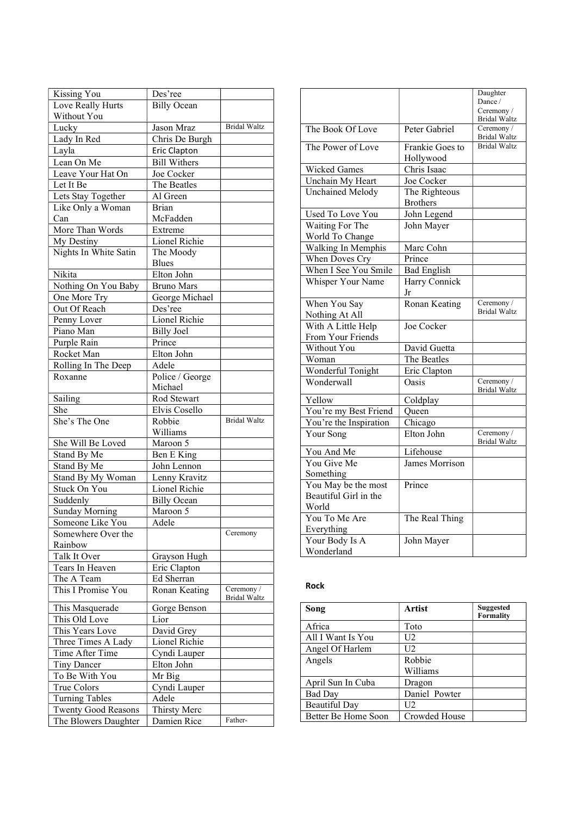|                                             | Des'ree                     |                                   |
|---------------------------------------------|-----------------------------|-----------------------------------|
| Kissing You<br>Love Really Hurts            | <b>Billy Ocean</b>          |                                   |
| Without You                                 |                             |                                   |
|                                             |                             | <b>Bridal Waltz</b>               |
| Lucky                                       | Jason Mraz                  |                                   |
| Lady In Red                                 | Chris De Burgh              |                                   |
| Layla                                       | Eric Clapton                |                                   |
| Lean On Me                                  | <b>Bill Withers</b>         |                                   |
| Leave Your Hat On                           | Joe Cocker                  |                                   |
| Let It Be                                   | The Beatles                 |                                   |
| Lets Stay Together                          | Al Green                    |                                   |
| Like Only a Woman                           | Brian                       |                                   |
| Can                                         | McFadden                    |                                   |
| More Than Words                             | Extreme                     |                                   |
|                                             | Lionel Richie               |                                   |
| My Destiny                                  |                             |                                   |
| Nights In White Satin                       | The Moody                   |                                   |
|                                             | <b>Blues</b>                |                                   |
| Nikita                                      | Elton John                  |                                   |
| Nothing On You Baby                         | <b>Bruno Mars</b>           |                                   |
| One More Try                                | George Michael              |                                   |
| Out Of Reach                                | Des'ree                     |                                   |
| Penny Lover                                 | Lionel Richie               |                                   |
| Piano Man                                   | <b>Billy Joel</b>           |                                   |
| Purple Rain                                 | Prince                      |                                   |
| Rocket Man                                  | Elton John                  |                                   |
|                                             |                             |                                   |
| Rolling In The Deep                         | Adele                       |                                   |
| Roxanne                                     | Police / George             |                                   |
|                                             | Michael                     |                                   |
| Sailing                                     | Rod Stewart                 |                                   |
| She                                         | Elvis Cosello               |                                   |
| She's The One                               | Robbie                      | <b>Bridal Waltz</b>               |
|                                             | Williams                    |                                   |
| She Will Be Loved                           | Maroon 5                    |                                   |
|                                             |                             |                                   |
| Stand By Me                                 |                             |                                   |
|                                             | Ben E King                  |                                   |
| Stand By Me                                 | John Lennon                 |                                   |
| Stand By My Woman                           | Lenny Kravitz               |                                   |
| Stuck On You                                | Lionel Richie               |                                   |
| Suddenly                                    | <b>Billy Ocean</b>          |                                   |
| <b>Sunday Morning</b>                       | Maroon 5                    |                                   |
| Someone Like You                            | Adele                       |                                   |
| Somewhere Over the                          |                             | Ceremony                          |
| Rainbow                                     |                             |                                   |
| Talk It Over                                | Grayson Hugh                |                                   |
| Tears In Heaven                             | Eric Clapton                |                                   |
| The A Team                                  | Ed Sherran                  |                                   |
| This I Promise You                          | Ronan Keating               | Ceremony /<br><b>Bridal Waltz</b> |
|                                             |                             |                                   |
| This Masquerade                             | Gorge Benson                |                                   |
| This Old Love                               | Lior                        |                                   |
| This Years Love                             | David Grey                  |                                   |
| Three Times A Lady                          | Lionel Richie               |                                   |
| Time After Time                             | Cyndi Lauper                |                                   |
| Tiny Dancer                                 | Elton John                  |                                   |
| To Be With You                              | Mr Big                      |                                   |
| True Colors                                 | Cyndi Lauper                |                                   |
| <b>Turning Tables</b>                       | Adele                       |                                   |
| Twenty Good Reasons<br>The Blowers Daughter | Thirsty Merc<br>Damien Rice |                                   |

|                         |                    | Daughter                          |
|-------------------------|--------------------|-----------------------------------|
|                         |                    | Dance /                           |
|                         |                    | Ceremony /<br><b>Bridal Waltz</b> |
| The Book Of Love        | Peter Gabriel      | Ceremony/                         |
|                         |                    | <b>Bridal Waltz</b>               |
| The Power of Love       | Frankie Goes to    | <b>Bridal Waltz</b>               |
|                         | Hollywood          |                                   |
| Wicked Games            | Chris Isaac        |                                   |
| Unchain My Heart        | Joe Cocker         |                                   |
| Unchained Melody        | The Righteous      |                                   |
|                         | <b>Brothers</b>    |                                   |
| <b>Used To Love You</b> | John Legend        |                                   |
| Waiting For The         | John Mayer         |                                   |
| World To Change         |                    |                                   |
| Walking In Memphis      | Marc Cohn          |                                   |
| When Doves Cry          | Prince             |                                   |
| When I See You Smile    | <b>Bad English</b> |                                   |
| Whisper Your Name       | Harry Connick      |                                   |
|                         | Jr                 |                                   |
| When You Say            | Ronan Keating      | Ceremony /                        |
| Nothing At All          |                    | <b>Bridal Waltz</b>               |
| With A Little Help      | Joe Cocker         |                                   |
| From Your Friends       |                    |                                   |
| Without You             | David Guetta       |                                   |
| Woman                   | The Beatles        |                                   |
| Wonderful Tonight       | Eric Clapton       |                                   |
| Wonderwall              | Oasis              | Ceremony /<br><b>Bridal Waltz</b> |
| Yellow                  | Coldplay           |                                   |
| You're my Best Friend   | Queen              |                                   |
| You're the Inspiration  | Chicago            |                                   |
| Your Song               | Elton John         | Ceremony /<br><b>Bridal Waltz</b> |
| You And Me              | Lifehouse          |                                   |
| You Give Me             | James Morrison     |                                   |
| Something               |                    |                                   |
| You May be the most     | Prince             |                                   |
| Beautiful Girl in the   |                    |                                   |
| World                   |                    |                                   |
| You To Me Are           | The Real Thing     |                                   |
| Everything              |                    |                                   |
| Your Body Is A          | John Mayer         |                                   |
| Wonderland              |                    |                                   |

### Rock

| Song                 | Artist        | Suggested<br>Formality |
|----------------------|---------------|------------------------|
| Africa               | Toto          |                        |
| All I Want Is You    | U2            |                        |
| Angel Of Harlem      | U2.           |                        |
| Angels               | Robbie        |                        |
|                      | Williams      |                        |
| April Sun In Cuba    | Dragon        |                        |
| <b>Bad Day</b>       | Daniel Powter |                        |
| <b>Beautiful Day</b> | U2.           |                        |
| Better Be Home Soon  | Crowded House |                        |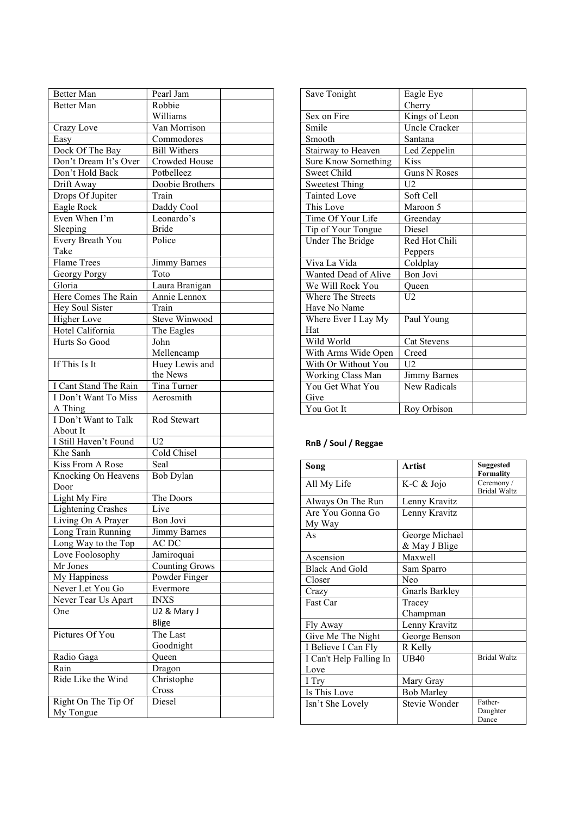| Better Man                      | Pearl Jam             |  |
|---------------------------------|-----------------------|--|
| <b>Better Man</b>               | Robbie                |  |
|                                 | Williams              |  |
| Crazy Love                      | Van Morrison          |  |
| Easy                            | Commodores            |  |
| Dock Of The Bay                 | <b>Bill Withers</b>   |  |
| Don't Dream It's Over           | Crowded House         |  |
| Don't Hold Back                 | Potbelleez            |  |
| Drift Away                      | Doobie Brothers       |  |
| Drops Of Jupiter                | Train                 |  |
| Eagle Rock                      | Daddy Cool            |  |
| Even When I'm                   | Leonardo's            |  |
| Sleeping                        | <b>Bride</b>          |  |
| Every Breath You                | Police                |  |
| Take                            |                       |  |
| <b>Flame Trees</b>              | Jimmy Barnes          |  |
| Georgy Porgy                    | Toto                  |  |
| Gloria                          | Laura Branigan        |  |
| Here Comes The Rain             | Annie Lennox          |  |
| Hey Soul Sister                 | Train                 |  |
| Higher Love                     | Steve Winwood         |  |
| Hotel California                | The Eagles            |  |
| Hurts So Good                   | John                  |  |
|                                 | Mellencamp            |  |
| If This Is It                   | Huey Lewis and        |  |
|                                 | the News              |  |
| I Cant Stand The Rain           | Tina Turner           |  |
| I Don't Want To Miss<br>A Thing | Aerosmith             |  |
| I Don't Want to Talk            | Rod Stewart           |  |
| About It                        |                       |  |
| I Still Haven't Found           | U2                    |  |
| Khe Sanh                        | Cold Chisel           |  |
| Kiss From A Rose                | Seal                  |  |
| Knocking On Heavens             | Bob Dylan             |  |
| Door                            |                       |  |
| Light My Fire                   | The Doors             |  |
| <b>Lightening Crashes</b>       | Live                  |  |
| Living On A Prayer              | Bon Jovi              |  |
| Long Train Running              | Jimmy Barnes          |  |
| Long Way to the Top             | AC DC                 |  |
| Love Foolosophy                 | Jamiroquai            |  |
| Mr Jones                        | <b>Counting Grows</b> |  |
| My Happiness                    | Powder Finger         |  |
| Never Let You Go                | Evermore              |  |
| Never Tear Us Apart             | INXS                  |  |
| One                             | U2 & Mary J           |  |
|                                 | Blige                 |  |
| Pictures Of You                 | The Last              |  |
|                                 | Goodnight             |  |
| Radio Gaga                      | Queen                 |  |
| Rain                            | Dragon                |  |
| Ride Like the Wind              | Christophe            |  |
|                                 | Cross                 |  |
| Right On The Tip Of             | Diesel                |  |
| My Tongue                       |                       |  |
|                                 |                       |  |

| Save Tonight             | Eagle Eye           |
|--------------------------|---------------------|
|                          | Cherry              |
| Sex on Fire              | Kings of Leon       |
| Smile                    | Uncle Cracker       |
| Smooth                   | Santana             |
| Stairway to Heaven       | Led Zeppelin        |
| Sure Know Something      | <b>Kiss</b>         |
| Sweet Child              | <b>Guns N Roses</b> |
| <b>Sweetest Thing</b>    | U <sub>2</sub>      |
| <b>Tainted Love</b>      | Soft Cell           |
| This Love                | Maroon 5            |
| Time Of Your Life        | Greenday            |
| Tip of Your Tongue       | <b>Diesel</b>       |
| Under The Bridge         | Red Hot Chili       |
|                          | Peppers             |
| Viva La Vida             | Coldplay            |
| Wanted Dead of Alive     | Bon Jovi            |
| We Will Rock You         | Queen               |
| <b>Where The Streets</b> | U <sub>2</sub>      |
| Have No Name             |                     |
| Where Ever I Lay My      | Paul Young          |
| Hat                      |                     |
| Wild World               | <b>Cat Stevens</b>  |
| With Arms Wide Open      | Creed               |
| With Or Without You      | U <sub>2</sub>      |
| Working Class Man        | <b>Jimmy Barnes</b> |
| You Get What You         | <b>New Radicals</b> |
| Give                     |                     |
| You Got It               | Roy Orbison         |

# RnB / Soul / Reggae

| Song                       | <b>Artist</b>                   | Suggested<br><b>Formality</b>     |
|----------------------------|---------------------------------|-----------------------------------|
| All My Life                | K-C & Jojo                      | Ceremony /<br><b>Bridal Waltz</b> |
| Always On The Run          | Lenny Kravitz                   |                                   |
| Are You Gonna Go<br>My Way | Lenny Kravitz                   |                                   |
| As                         | George Michael<br>& May J Blige |                                   |
| Ascension                  | Maxwell                         |                                   |
| <b>Black And Gold</b>      | Sam Sparro                      |                                   |
| Closer                     | Neo                             |                                   |
| Crazy                      | Gnarls Barkley                  |                                   |
| Fast Car                   | Tracey                          |                                   |
|                            | Champman                        |                                   |
| Fly Away                   | Lenny Kravitz                   |                                   |
| Give Me The Night          | George Benson                   |                                   |
| I Believe I Can Fly        | R Kelly                         |                                   |
| I Can't Help Falling In    | <b>UB40</b>                     | <b>Bridal Waltz</b>               |
| Love                       |                                 |                                   |
| I Try                      | Mary Gray                       |                                   |
| Is This Love               | Bob Marley                      |                                   |
| Isn't She Lovely           | Stevie Wonder                   | Father-<br>Daughter<br>Dance      |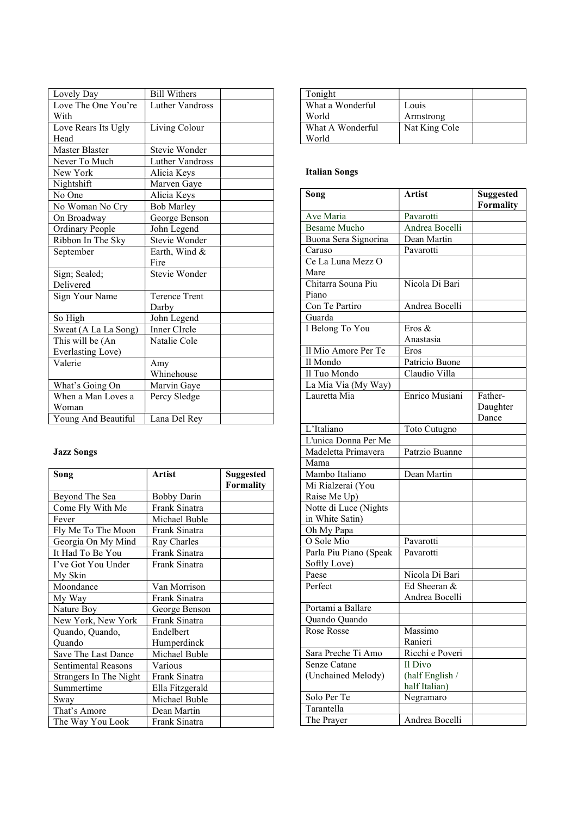| Lovely Day             | <b>Bill Withers</b>    |  |
|------------------------|------------------------|--|
| Love The One You're    | <b>Luther Vandross</b> |  |
| With                   |                        |  |
| Love Rears Its Ugly    | Living Colour          |  |
| Head                   |                        |  |
| <b>Master Blaster</b>  | Stevie Wonder          |  |
| Never To Much          | <b>Luther Vandross</b> |  |
| New York               | Alicia Keys            |  |
| Nightshift             | Marven Gaye            |  |
| No One                 | Alicia Keys            |  |
| No Woman No Cry        | <b>Bob Marley</b>      |  |
| On Broadway            | George Benson          |  |
| <b>Ordinary People</b> | John Legend            |  |
| Ribbon In The Sky      | Stevie Wonder          |  |
| September              | Earth, Wind &          |  |
|                        | Fire                   |  |
| Sign; Sealed;          | Stevie Wonder          |  |
| Delivered              |                        |  |
| Sign Your Name         | <b>Terence Trent</b>   |  |
|                        | Darby                  |  |
| So High                | John Legend            |  |
| Sweat (A La La Song)   | Inner CIrcle           |  |
| This will be (An       | Natalie Cole           |  |
| Everlasting Love)      |                        |  |
| Valerie                | Amy                    |  |
|                        | Whinehouse             |  |
| What's Going On        | Marvin Gaye            |  |
| When a Man Loves a     | Percy Sledge           |  |
| Woman                  |                        |  |
| Young And Beautiful    | Lana Del Rey           |  |

## Jazz Songs

| Song                       | <b>Artist</b>      | <b>Suggested</b> |
|----------------------------|--------------------|------------------|
|                            |                    | <b>Formality</b> |
| Beyond The Sea             | <b>Bobby Darin</b> |                  |
| Come Fly With Me           | Frank Sinatra      |                  |
| Fever                      | Michael Buble      |                  |
| Fly Me To The Moon         | Frank Sinatra      |                  |
| Georgia On My Mind         | Ray Charles        |                  |
| It Had To Be You           | Frank Sinatra      |                  |
| I've Got You Under         | Frank Sinatra      |                  |
| My Skin                    |                    |                  |
| Moondance                  | Van Morrison       |                  |
| My Way                     | Frank Sinatra      |                  |
| Nature Boy                 | George Benson      |                  |
| New York, New York         | Frank Sinatra      |                  |
| Quando, Quando,            | Endelbert          |                  |
| Ouando                     | Humperdinck        |                  |
| Save The Last Dance        | Michael Buble      |                  |
| <b>Sentimental Reasons</b> | Various            |                  |
| Strangers In The Night     | Frank Sinatra      |                  |
| Summertime                 | Ella Fitzgerald    |                  |
| Sway                       | Michael Buble      |                  |
| That's Amore               | Dean Martin        |                  |
| The Way You Look           | Frank Sinatra      |                  |

| Tonight          |               |  |
|------------------|---------------|--|
| What a Wonderful | Louis         |  |
| World            | Armstrong     |  |
| What A Wonderful | Nat King Cole |  |
| World            |               |  |

## Italian Songs

| Song                                     | <b>Artist</b>   | <b>Suggested</b><br><b>Formality</b> |
|------------------------------------------|-----------------|--------------------------------------|
| Ave Maria                                | Pavarotti       |                                      |
| <b>Besame Mucho</b>                      | Andrea Bocelli  |                                      |
| Buona Sera Signorina                     | Dean Martin     |                                      |
| Caruso                                   | Pavarotti       |                                      |
| Ce La Luna Mezz O                        |                 |                                      |
| Mare                                     |                 |                                      |
| Chitarra Souna Piu                       | Nicola Di Bari  |                                      |
| Piano                                    |                 |                                      |
| Con Te Partiro                           | Andrea Bocelli  |                                      |
| Guarda                                   |                 |                                      |
| I Belong To You                          | Eros &          |                                      |
|                                          | Anastasia       |                                      |
| Il Mio Amore Per Te                      | Eros            |                                      |
| Il Mondo                                 | Patricio Buone  |                                      |
| Il Tuo Mondo                             | Claudio Villa   |                                      |
| La Mia Via (My Way)                      |                 |                                      |
| Lauretta Mia                             | Enrico Musiani  | Father-<br>Daughter<br>Dance         |
| L'Italiano                               | Toto Cutugno    |                                      |
| L'unica Donna Per Me                     |                 |                                      |
| Madeletta Primavera                      | Patrzio Buanne  |                                      |
| Mama                                     |                 |                                      |
| Mambo Italiano                           | Dean Martin     |                                      |
| Mi Rialzerai (You                        |                 |                                      |
| Raise Me Up)                             |                 |                                      |
| Notte di Luce (Nights<br>in White Satin) |                 |                                      |
| Oh My Papa                               |                 |                                      |
| O Sole Mio                               | Pavarotti       |                                      |
| Parla Piu Piano (Speak                   | Pavarotti       |                                      |
| Softly Love)<br>Paese                    | Nicola Di Bari  |                                      |
| Perfect                                  | Ed Sheeran &    |                                      |
|                                          | Andrea Bocelli  |                                      |
| Portami a Ballare                        |                 |                                      |
| Quando Quando                            |                 |                                      |
| Rose Rosse                               | Massimo         |                                      |
|                                          | Ranieri         |                                      |
| Sara Preche Ti Amo                       | Ricchi e Poveri |                                      |
| Senze Catane                             | Il Divo         |                                      |
| (Unchained Melody)                       | (half English / |                                      |
|                                          | half Italian)   |                                      |
| Solo Per Te                              | Negramaro       |                                      |
| Tarantella                               |                 |                                      |
| The Prayer                               | Andrea Bocelli  |                                      |